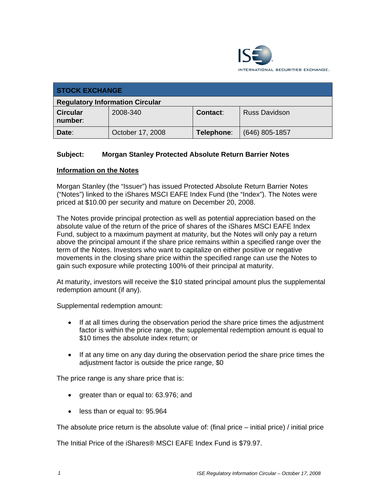

| <b>STOCK EXCHANGE</b>                  |                  |            |                      |  |
|----------------------------------------|------------------|------------|----------------------|--|
| <b>Regulatory Information Circular</b> |                  |            |                      |  |
| <b>Circular</b><br>number:             | 2008-340         | Contact:   | <b>Russ Davidson</b> |  |
| Date:                                  | October 17, 2008 | Telephone: | $(646)$ 805-1857     |  |

## **Subject: Morgan Stanley Protected Absolute Return Barrier Notes**

## **Information on the Notes**

Morgan Stanley (the "Issuer") has issued Protected Absolute Return Barrier Notes ("Notes") linked to the iShares MSCI EAFE Index Fund (the "Index"). The Notes were priced at \$10.00 per security and mature on December 20, 2008.

The Notes provide principal protection as well as potential appreciation based on the absolute value of the return of the price of shares of the iShares MSCI EAFE Index Fund, subject to a maximum payment at maturity, but the Notes will only pay a return above the principal amount if the share price remains within a specified range over the term of the Notes. Investors who want to capitalize on either positive or negative movements in the closing share price within the specified range can use the Notes to gain such exposure while protecting 100% of their principal at maturity.

At maturity, investors will receive the \$10 stated principal amount plus the supplemental redemption amount (if any).

Supplemental redemption amount:

- If at all times during the observation period the share price times the adjustment factor is within the price range, the supplemental redemption amount is equal to \$10 times the absolute index return; or
- If at any time on any day during the observation period the share price times the adjustment factor is outside the price range, \$0

The price range is any share price that is:

- greater than or equal to: 63.976; and
- less than or equal to: 95.964

The absolute price return is the absolute value of: (final price – initial price) / initial price

The Initial Price of the iShares® MSCI EAFE Index Fund is \$79.97.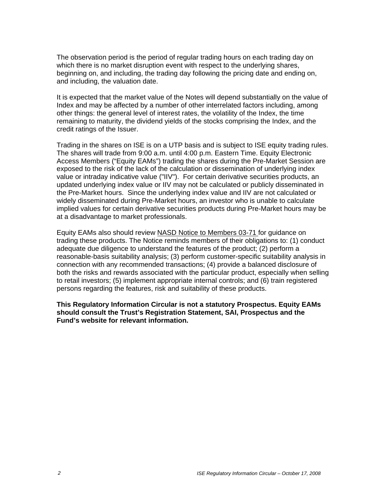The observation period is the period of regular trading hours on each trading day on which there is no market disruption event with respect to the underlying shares, beginning on, and including, the trading day following the pricing date and ending on, and including, the valuation date.

It is expected that the market value of the Notes will depend substantially on the value of Index and may be affected by a number of other interrelated factors including, among other things: the general level of interest rates, the volatility of the Index, the time remaining to maturity, the dividend yields of the stocks comprising the Index, and the credit ratings of the Issuer.

Trading in the shares on ISE is on a UTP basis and is subject to ISE equity trading rules. The shares will trade from 9:00 a.m. until 4:00 p.m. Eastern Time. Equity Electronic Access Members ("Equity EAMs") trading the shares during the Pre-Market Session are exposed to the risk of the lack of the calculation or dissemination of underlying index value or intraday indicative value ("IIV"). For certain derivative securities products, an updated underlying index value or IIV may not be calculated or publicly disseminated in the Pre-Market hours. Since the underlying index value and IIV are not calculated or widely disseminated during Pre-Market hours, an investor who is unable to calculate implied values for certain derivative securities products during Pre-Market hours may be at a disadvantage to market professionals.

Equity EAMs also should review NASD Notice to Members 03-71 for guidance on trading these products. The Notice reminds members of their obligations to: (1) conduct adequate due diligence to understand the features of the product; (2) perform a reasonable-basis suitability analysis; (3) perform customer-specific suitability analysis in connection with any recommended transactions; (4) provide a balanced disclosure of both the risks and rewards associated with the particular product, especially when selling to retail investors; (5) implement appropriate internal controls; and (6) train registered persons regarding the features, risk and suitability of these products.

**This Regulatory Information Circular is not a statutory Prospectus. Equity EAMs should consult the Trust's Registration Statement, SAI, Prospectus and the Fund's website for relevant information.**